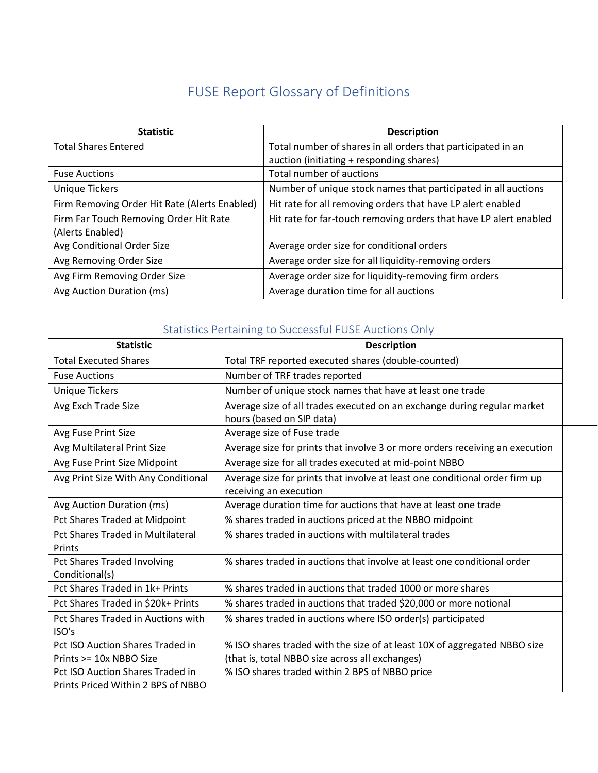## FUSE Report Glossary of Definitions

| <b>Statistic</b>                              | <b>Description</b>                                                |
|-----------------------------------------------|-------------------------------------------------------------------|
| <b>Total Shares Entered</b>                   | Total number of shares in all orders that participated in an      |
|                                               | auction (initiating + responding shares)                          |
| <b>Fuse Auctions</b>                          | Total number of auctions                                          |
| <b>Unique Tickers</b>                         | Number of unique stock names that participated in all auctions    |
| Firm Removing Order Hit Rate (Alerts Enabled) | Hit rate for all removing orders that have LP alert enabled       |
| Firm Far Touch Removing Order Hit Rate        | Hit rate for far-touch removing orders that have LP alert enabled |
| (Alerts Enabled)                              |                                                                   |
| Avg Conditional Order Size                    | Average order size for conditional orders                         |
| Avg Removing Order Size                       | Average order size for all liquidity-removing orders              |
| Avg Firm Removing Order Size                  | Average order size for liquidity-removing firm orders             |
| Avg Auction Duration (ms)                     | Average duration time for all auctions                            |

## Statistics Pertaining to Successful FUSE Auctions Only

| <b>Statistic</b>                         | <b>Description</b>                                                           |
|------------------------------------------|------------------------------------------------------------------------------|
| <b>Total Executed Shares</b>             | Total TRF reported executed shares (double-counted)                          |
| <b>Fuse Auctions</b>                     | Number of TRF trades reported                                                |
| <b>Unique Tickers</b>                    | Number of unique stock names that have at least one trade                    |
| Avg Exch Trade Size                      | Average size of all trades executed on an exchange during regular market     |
|                                          | hours (based on SIP data)                                                    |
| Avg Fuse Print Size                      | Average size of Fuse trade                                                   |
| Avg Multilateral Print Size              | Average size for prints that involve 3 or more orders receiving an execution |
| Avg Fuse Print Size Midpoint             | Average size for all trades executed at mid-point NBBO                       |
| Avg Print Size With Any Conditional      | Average size for prints that involve at least one conditional order firm up  |
|                                          | receiving an execution                                                       |
| Avg Auction Duration (ms)                | Average duration time for auctions that have at least one trade              |
| Pct Shares Traded at Midpoint            | % shares traded in auctions priced at the NBBO midpoint                      |
| <b>Pct Shares Traded in Multilateral</b> | % shares traded in auctions with multilateral trades                         |
| Prints                                   |                                                                              |
| <b>Pct Shares Traded Involving</b>       | % shares traded in auctions that involve at least one conditional order      |
| Conditional(s)                           |                                                                              |
| Pct Shares Traded in 1k+ Prints          | % shares traded in auctions that traded 1000 or more shares                  |
| Pct Shares Traded in \$20k+ Prints       | % shares traded in auctions that traded \$20,000 or more notional            |
| Pct Shares Traded in Auctions with       | % shares traded in auctions where ISO order(s) participated                  |
| ISO's                                    |                                                                              |
| Pct ISO Auction Shares Traded in         | % ISO shares traded with the size of at least 10X of aggregated NBBO size    |
| Prints >= 10x NBBO Size                  | (that is, total NBBO size across all exchanges)                              |
| Pct ISO Auction Shares Traded in         | % ISO shares traded within 2 BPS of NBBO price                               |
| Prints Priced Within 2 BPS of NBBO       |                                                                              |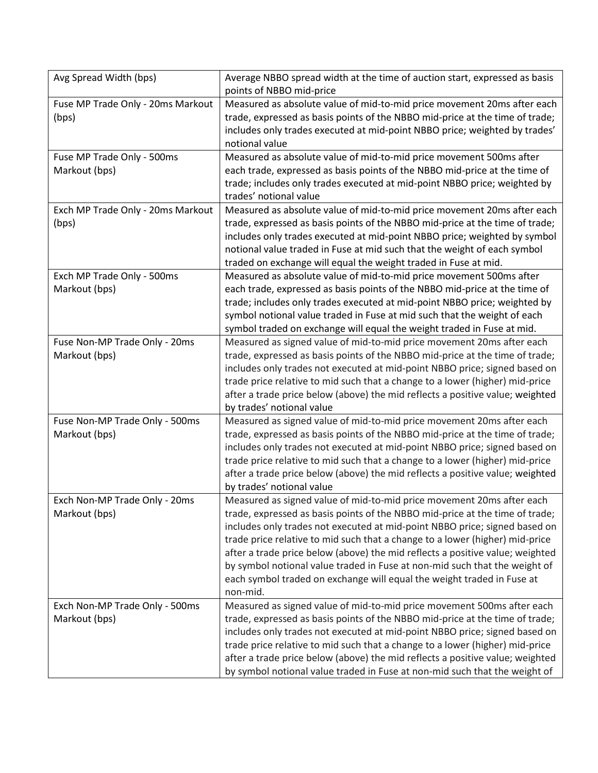| Avg Spread Width (bps)                          | Average NBBO spread width at the time of auction start, expressed as basis<br>points of NBBO mid-price                                                                                                                                                                                                                                                                                                                                                                                                                                                                   |
|-------------------------------------------------|--------------------------------------------------------------------------------------------------------------------------------------------------------------------------------------------------------------------------------------------------------------------------------------------------------------------------------------------------------------------------------------------------------------------------------------------------------------------------------------------------------------------------------------------------------------------------|
| Fuse MP Trade Only - 20ms Markout<br>(bps)      | Measured as absolute value of mid-to-mid price movement 20ms after each<br>trade, expressed as basis points of the NBBO mid-price at the time of trade;<br>includes only trades executed at mid-point NBBO price; weighted by trades'<br>notional value                                                                                                                                                                                                                                                                                                                  |
| Fuse MP Trade Only - 500ms<br>Markout (bps)     | Measured as absolute value of mid-to-mid price movement 500ms after<br>each trade, expressed as basis points of the NBBO mid-price at the time of<br>trade; includes only trades executed at mid-point NBBO price; weighted by<br>trades' notional value                                                                                                                                                                                                                                                                                                                 |
| Exch MP Trade Only - 20ms Markout<br>(bps)      | Measured as absolute value of mid-to-mid price movement 20ms after each<br>trade, expressed as basis points of the NBBO mid-price at the time of trade;<br>includes only trades executed at mid-point NBBO price; weighted by symbol<br>notional value traded in Fuse at mid such that the weight of each symbol<br>traded on exchange will equal the weight traded in Fuse at mid.                                                                                                                                                                                      |
| Exch MP Trade Only - 500ms<br>Markout (bps)     | Measured as absolute value of mid-to-mid price movement 500ms after<br>each trade, expressed as basis points of the NBBO mid-price at the time of<br>trade; includes only trades executed at mid-point NBBO price; weighted by<br>symbol notional value traded in Fuse at mid such that the weight of each<br>symbol traded on exchange will equal the weight traded in Fuse at mid.                                                                                                                                                                                     |
| Fuse Non-MP Trade Only - 20ms<br>Markout (bps)  | Measured as signed value of mid-to-mid price movement 20ms after each<br>trade, expressed as basis points of the NBBO mid-price at the time of trade;<br>includes only trades not executed at mid-point NBBO price; signed based on<br>trade price relative to mid such that a change to a lower (higher) mid-price<br>after a trade price below (above) the mid reflects a positive value; weighted<br>by trades' notional value                                                                                                                                        |
| Fuse Non-MP Trade Only - 500ms<br>Markout (bps) | Measured as signed value of mid-to-mid price movement 20ms after each<br>trade, expressed as basis points of the NBBO mid-price at the time of trade;<br>includes only trades not executed at mid-point NBBO price; signed based on<br>trade price relative to mid such that a change to a lower (higher) mid-price<br>after a trade price below (above) the mid reflects a positive value; weighted<br>by trades' notional value                                                                                                                                        |
| Exch Non-MP Trade Only - 20ms<br>Markout (bps)  | Measured as signed value of mid-to-mid price movement 20ms after each<br>trade, expressed as basis points of the NBBO mid-price at the time of trade;<br>includes only trades not executed at mid-point NBBO price; signed based on<br>trade price relative to mid such that a change to a lower (higher) mid-price<br>after a trade price below (above) the mid reflects a positive value; weighted<br>by symbol notional value traded in Fuse at non-mid such that the weight of<br>each symbol traded on exchange will equal the weight traded in Fuse at<br>non-mid. |
| Exch Non-MP Trade Only - 500ms<br>Markout (bps) | Measured as signed value of mid-to-mid price movement 500ms after each<br>trade, expressed as basis points of the NBBO mid-price at the time of trade;<br>includes only trades not executed at mid-point NBBO price; signed based on<br>trade price relative to mid such that a change to a lower (higher) mid-price<br>after a trade price below (above) the mid reflects a positive value; weighted<br>by symbol notional value traded in Fuse at non-mid such that the weight of                                                                                      |